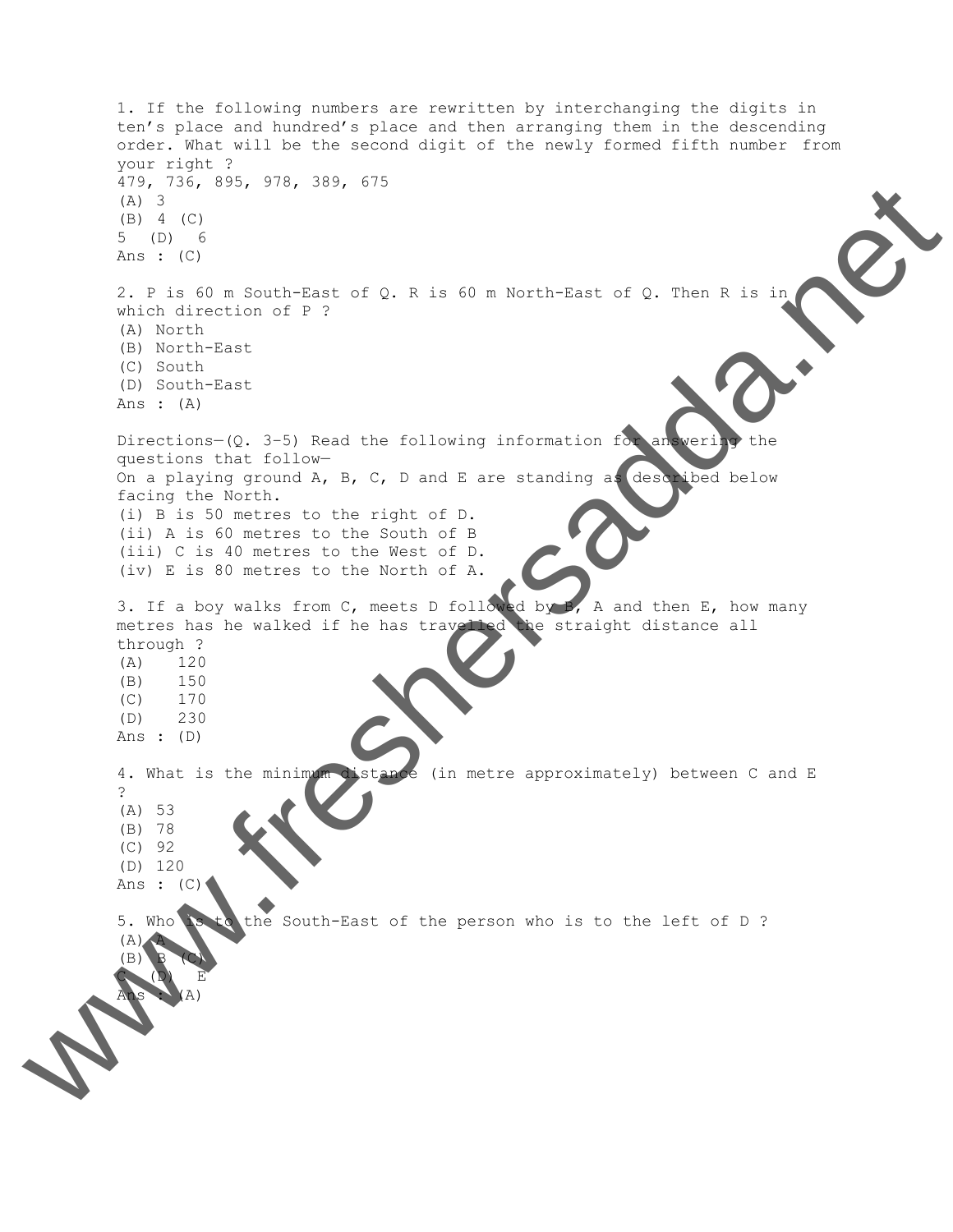1. If the following numbers are rewritten by interchanging the digits in ten's place and hundred's place and then arranging them in the descending order. What will be the second digit of the newly formed fifth number from your right ? 479, 736, 895, 978, 389, 675 (A) 3 (B) 4 (C) 5 (D) 6 Ans : (C) 2. P is 60 m South-East of Q. R is 60 m North-East of Q. Then R is in which direction of P ? (A) North (B) North-East (C) South (D) South-East Ans : (A) Directions– $(Q. 3-5)$  Read the following information for answering the questions that follow— On a playing ground A, B, C, D and E are standing as described below facing the North. (i) B is 50 metres to the right of D. (ii) A is 60 metres to the South of B (iii) C is 40 metres to the West of D. (iv) E is 80 metres to the North of A. 3. If a boy walks from C, meets D followed by B, A and then E, how many metres has he walked if he has travelled the straight distance all through ? (A) 120 (B) 150 (C) 170 (D) 230 Ans : (D) 4. What is the minimum distance (in metre approximately) between C and E ? (A) 53 (B) 78 (C) 92 (D) 120 Ans :  $(C)$ 5. Who is to the South-East of the person who is to the left of D ?  $(A)$   $\hat{A}$ (B) B (C)  $C$   $(D)$  E Ans  $\frac{1}{2}$  where  $\frac{1}{2}$  where  $\frac{1}{2}$  we can be a set of  $\alpha$ . A set of  $\alpha$  with Excel  $\alpha$  at  $\alpha$  is a set of  $\alpha$  with  $\alpha$  is a set of  $\alpha$  with  $\alpha$  is a set of  $\alpha$  with  $\alpha$  is a set of  $\alpha$  with  $\alpha$  is a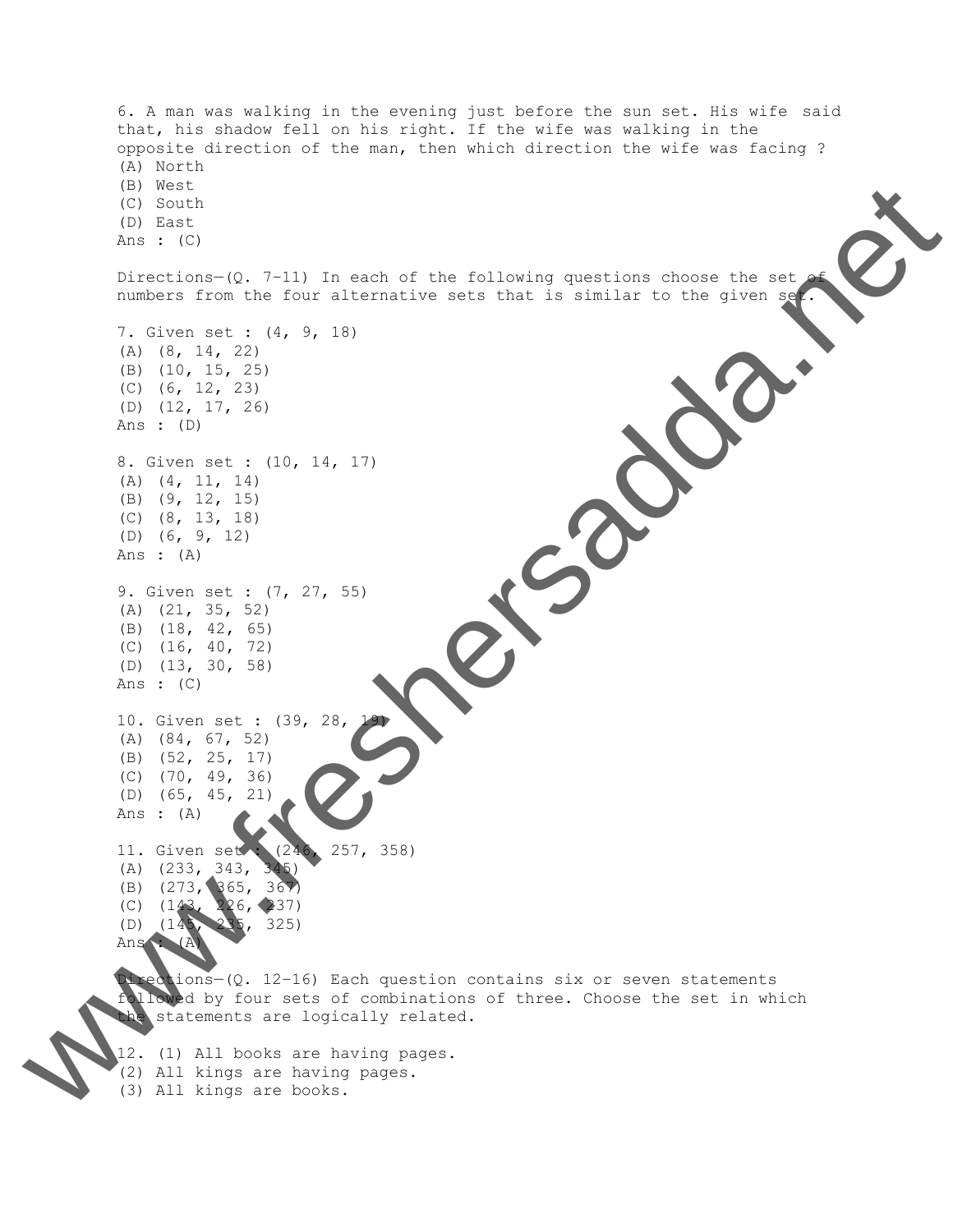6. A man was walking in the evening just before the sun set. His wife said that, his shadow fell on his right. If the wife was walking in the opposite direction of the man, then which direction the wife was facing ? (A) North (B) West (C) South (D) East Ans :  $(C)$ Directions- $(Q. 7-11)$  In each of the following questions choose the set numbers from the four alternative sets that is similar to the given set 7. Given set : (4, 9, 18) (A) (8, 14, 22) (B) (10, 15, 25) (C) (6, 12, 23) (D) (12, 17, 26) Ans : (D) 8. Given set : (10, 14, 17) (A) (4, 11, 14) (B) (9, 12, 15) (C) (8, 13, 18) (D) (6, 9, 12) Ans : (A) 9. Given set : (7, 27, 55) (A) (21, 35, 52) (B) (18, 42, 65) (C) (16, 40, 72) (D) (13, 30, 58) Ans :  $(C)$ 10. Given set : (39, 28, (A) (84, 67, 52) (B) (52, 25, 17) (C) (70, 49, 36) (D) (65, 45, 21) Ans : (A) 11. Given set : (246, 257, 358) (A) (233, 343, 345) (B) (273, 365, 367) (C) (143, 226, 237) (D) (145, 235, 325) Ans : (A) Directions—(Q. 12–16) Each question contains six or seven statements followed by four sets of combinations of three. Choose the set in which the statements are logically related. Valley Rock 200

12. (1) All books are having pages.

- 
- (3) All kings are books.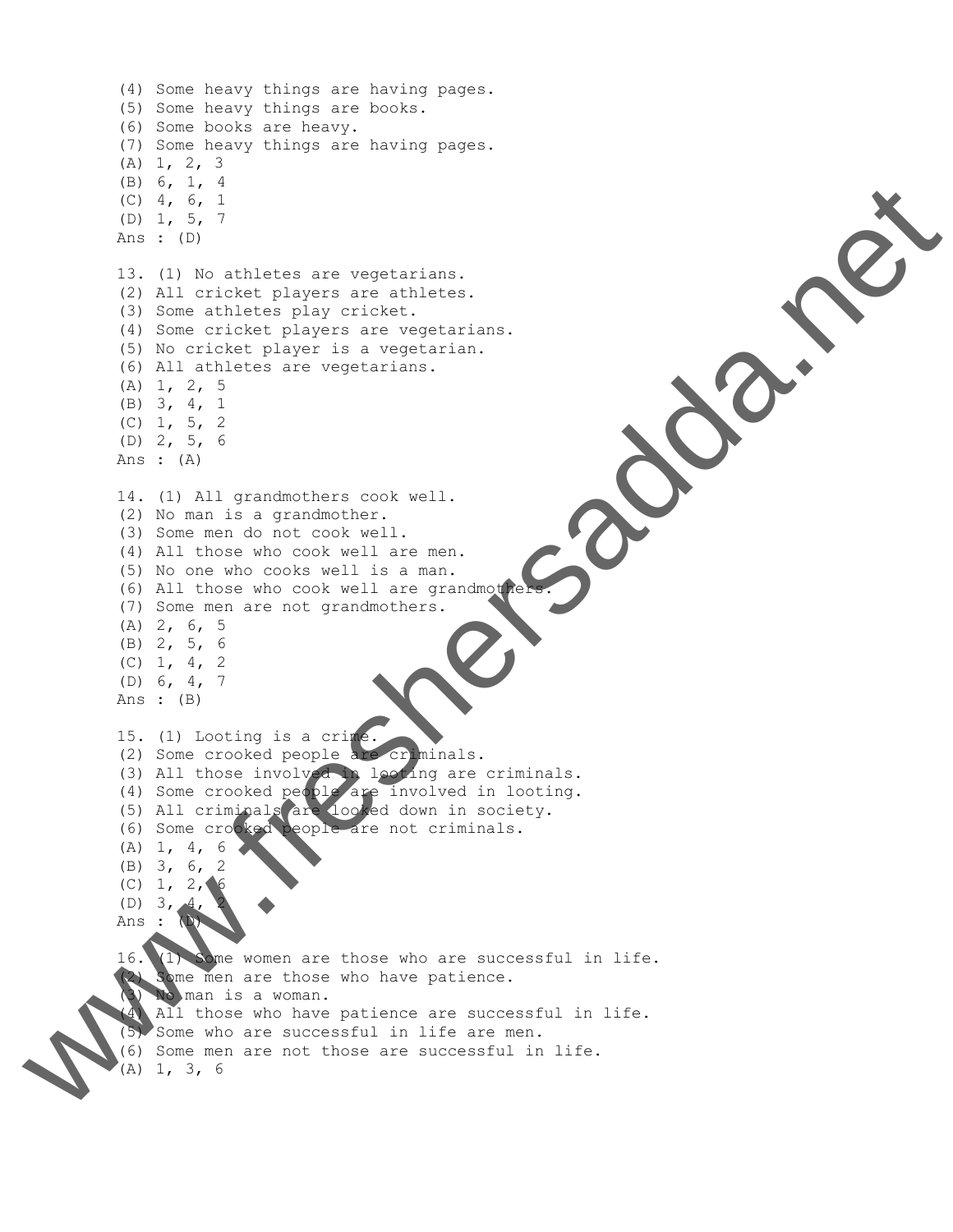```
(4) Some heavy things are having pages.
         (5) Some heavy things are books.
         (6) Some books are heavy.
         (7) Some heavy things are having pages.
         (A) 1, 2, 3
         (B) 6, 1, 4
         (C) 4, 6, 1
         (D) 1, 5, 7
         Ans : (D)
         13. (1) No athletes are vegetarians.
         (2) All cricket players are athletes.
         (3) Some athletes play cricket.
         (4) Some cricket players are vegetarians.
         (5) No cricket player is a vegetarian.
         (6) All athletes are vegetarians.
         (A) 1, 2, 5
         (B) 3, 4, 1
         (C) 1, 5, 2(D) 2, 5, 6
         Ans : (A)
         14. (1) All grandmothers cook well.
         (2) No man is a grandmother.
         (3) Some men do not cook well.
         (4) All those who cook well are men.
         (5) No one who cooks well is a man.
         (6) All those who cook well are grandmothe
         (7) Some men are not grandmothers.
         (A) 2, 6, 5
         (B) 2, 5, 6
         (C) 1, 4, 2
         (D) 6, 4, 7
         Ans : (B)
         15. (1) Looting is a crime.
         (2) Some crooked people are criminals.
         (3) All those involved in looting are criminals.
         (4) Some crooked people are involved in looting.
         (5) All criminals are looked down in society.
         (6) Some crooked people are not criminals.
         (A) 1, 4, 6
         (B) 3, 6, 2
         (C) 1, 2, 6(D) 3,
         Ans : (D)
         16. (1) Some women are those who are successful in life.
         (2) Some men are those who have patience.
             (3) No man is a woman.
          (4) All those who have patience are successful in life.
          (5) Some who are successful in life are men.
(6) Some men are not those are successful in life. www.freshersadda.net (A) 1, 3, 6
```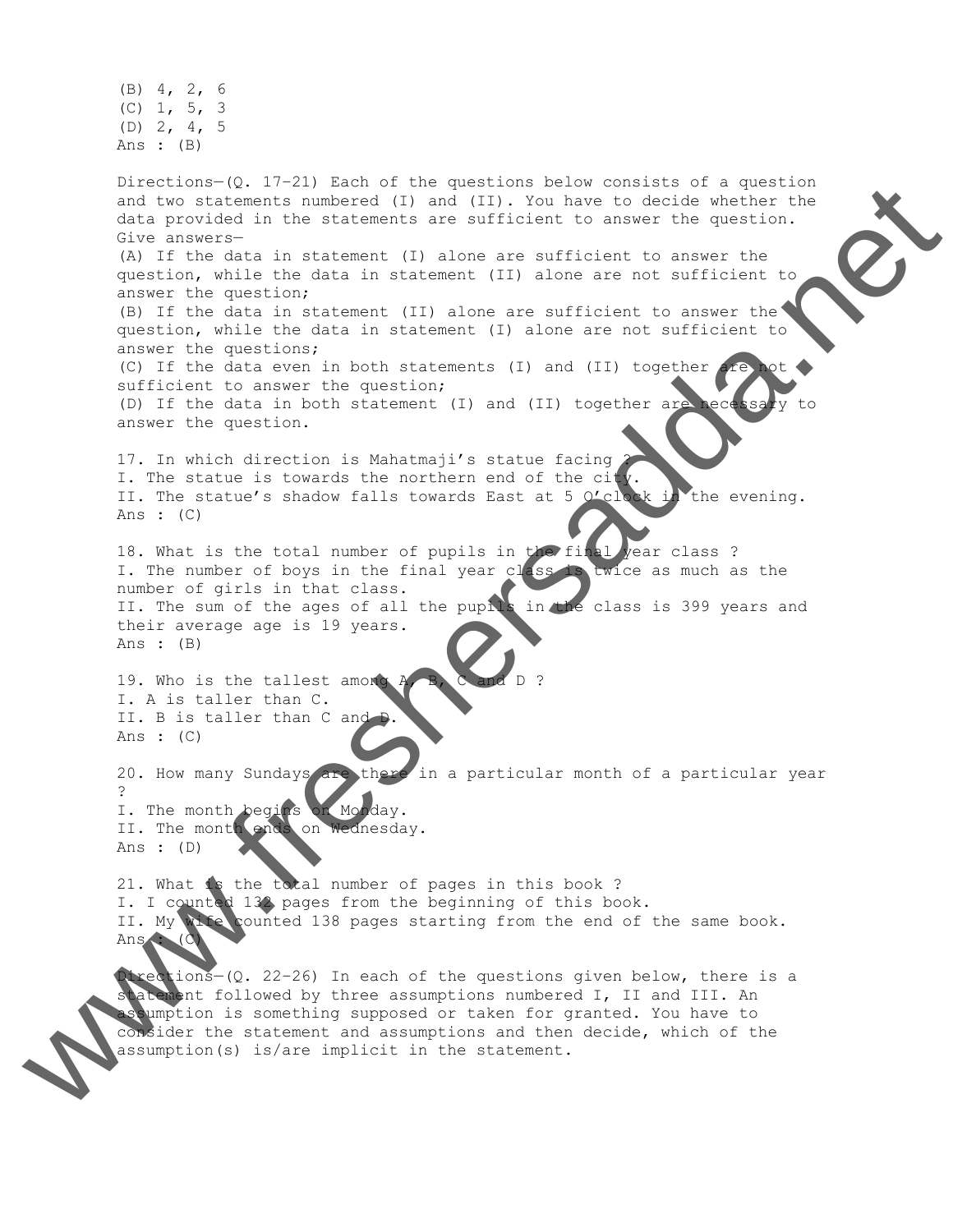(B) 4, 2, 6 (C) 1, 5, 3 (D) 2, 4, 5 Ans : (B) Directions—(Q. 17–21) Each of the questions below consists of a question and two statements numbered (I) and (II). You have to decide whether the data provided in the statements are sufficient to answer the question. Give answers— (A) If the data in statement (I) alone are sufficient to answer the question, while the data in statement (II) alone are not sufficient to answer the question; (B) If the data in statement (II) alone are sufficient to answer the question, while the data in statement (I) alone are not sufficient to answer the questions; (C) If the data even in both statements (I) and (II) together  $\Delta x$ sufficient to answer the question; (D) If the data in both statement (I) and (II) together are necessary to answer the question. 17. In which direction is Mahatmaji's statue facing I. The statue is towards the northern end of the city II. The statue's shadow falls towards East at 5  $0'$ clock in the evening. Ans :  $(C)$ 18. What is the total number of pupils in the final year class ? I. The number of boys in the final year class is twice as much as the number of girls in that class. II. The sum of the ages of all the pupils in the class is 399 years and their average age is 19 years. Ans : (B) 19. Who is the tallest among I. A is taller than C. II. B is taller than C and Ans : (C) 20. How many Sundays are there in a particular month of a particular year ? I. The month begins on Monday. II. The month ends on Wednesday. Ans : (D) 21. What is the total number of pages in this book ? I. I counted 132 pages from the beginning of this book. II. My wife counted 138 pages starting from the end of the same book. Ans : (C) Directions—(Q. 22–26) In each of the questions given below, there is a assumption (s) in the statement of the statement of the statement. The statement of the statement of the statement. The statement of the statement of the statement of the statement. We also the statement of the statement

statement followed by three assumptions numbered I, II and III. An assumption is something supposed or taken for granted. You have to consider the statement and assumptions and then decide, which of the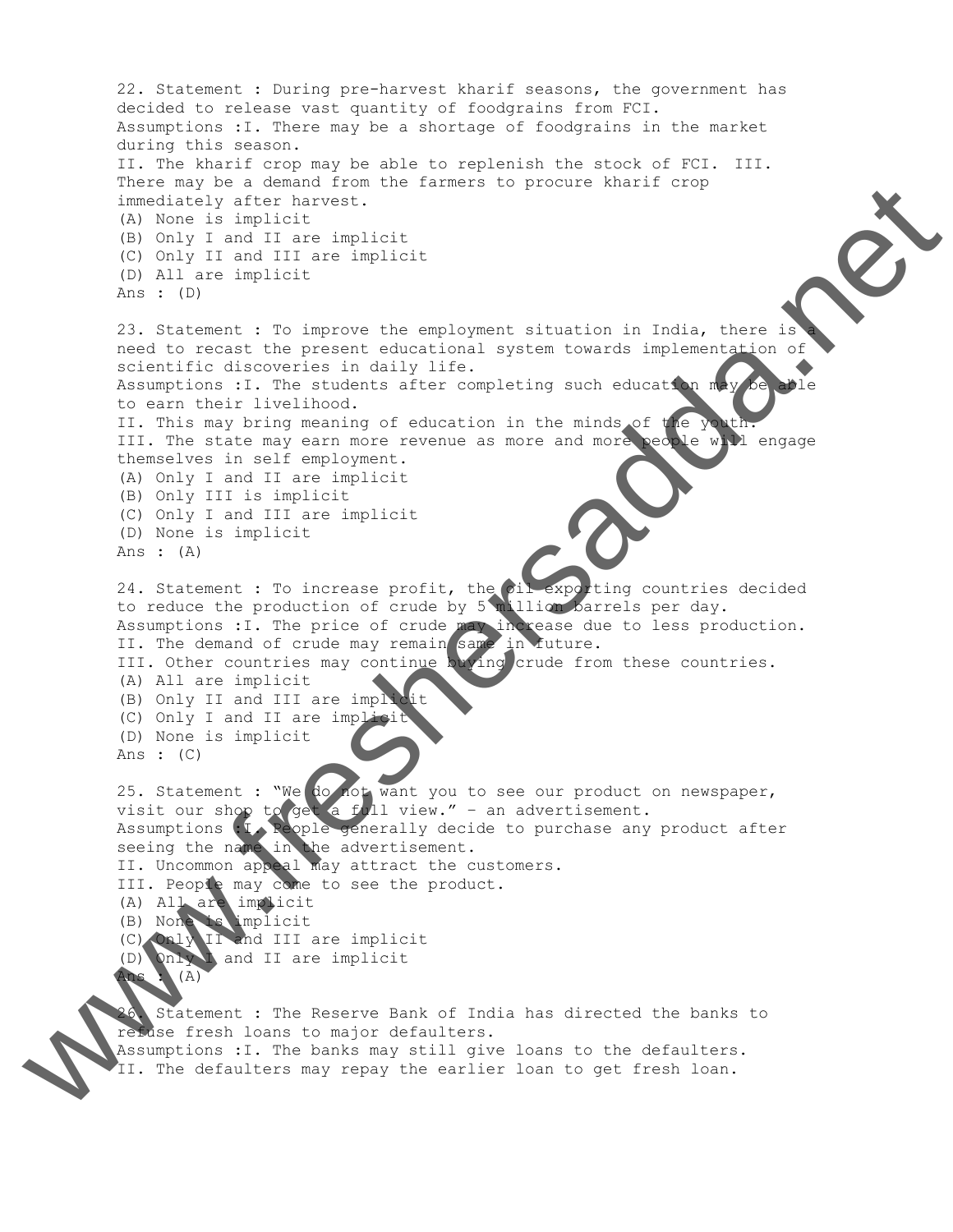22. Statement : During pre-harvest kharif seasons, the government has decided to release vast quantity of foodgrains from FCI. Assumptions :I. There may be a shortage of foodgrains in the market during this season. II. The kharif crop may be able to replenish the stock of FCI. III. There may be a demand from the farmers to procure kharif crop immediately after harvest. (A) None is implicit (B) Only I and II are implicit (C) Only II and III are implicit (D) All are implicit Ans : (D) 23. Statement : To improve the employment situation in India, there is need to recast the present educational system towards implementation of scientific discoveries in daily life. Assumptions : I. The students after completing such education may be able to earn their livelihood. II. This may bring meaning of education in the minds of the you III. The state may earn more revenue as more and more people will engage themselves in self employment. (A) Only I and II are implicit (B) Only III is implicit (C) Only I and III are implicit (D) None is implicit Ans : (A) 24. Statement : To increase profit, the oil exporting countries decided to reduce the production of crude by 5 million barrels per day. Assumptions : I. The price of crude may increase due to less production. II. The demand of crude may remain same in future. III. Other countries may continue buying crude from these countries. (A) All are implicit (B) Only II and III are impli (C) Only I and II are implic (D) None is implicit Ans : (C) 25. Statement : "We do not want you to see our product on newspaper, visit our shop to get a full view." - an advertisement. Assumptions : I. Reople generally decide to purchase any product after seeing the name in the advertisement. II. Uncommon appeal may attract the customers. III. People may come to see the product. (A) All are implicit (B) None is implicit (C) Only II and III are implicit (D) Only I and II are implicit Ans : (A) 26. Statement : The Reserve Bank of India has directed the banks to refuse fresh loans to major defaulters. Assumption in the banks may still give loans may still give loan to the default give loan to default and the default of the default of the default of the default of the default of the default of the default of the default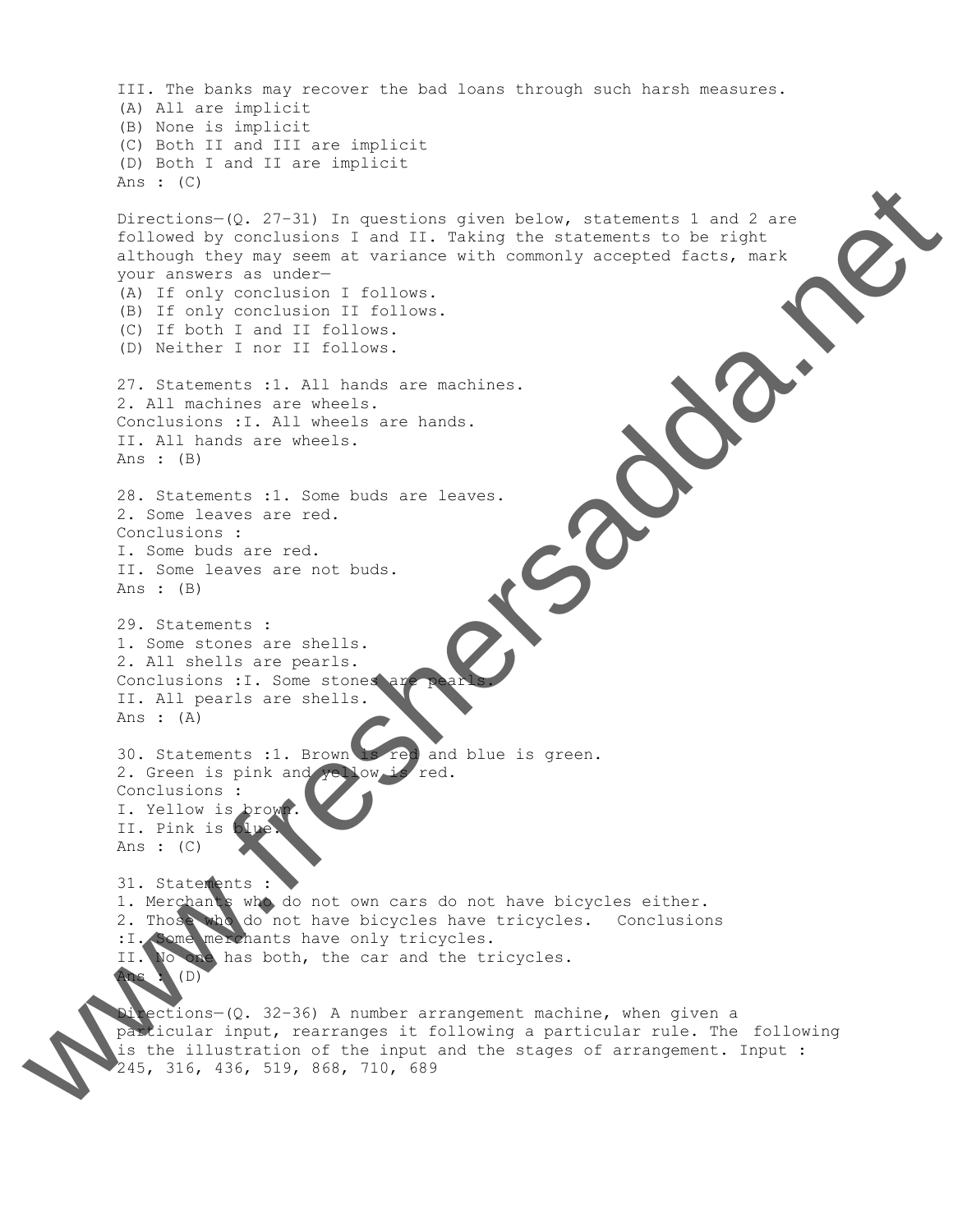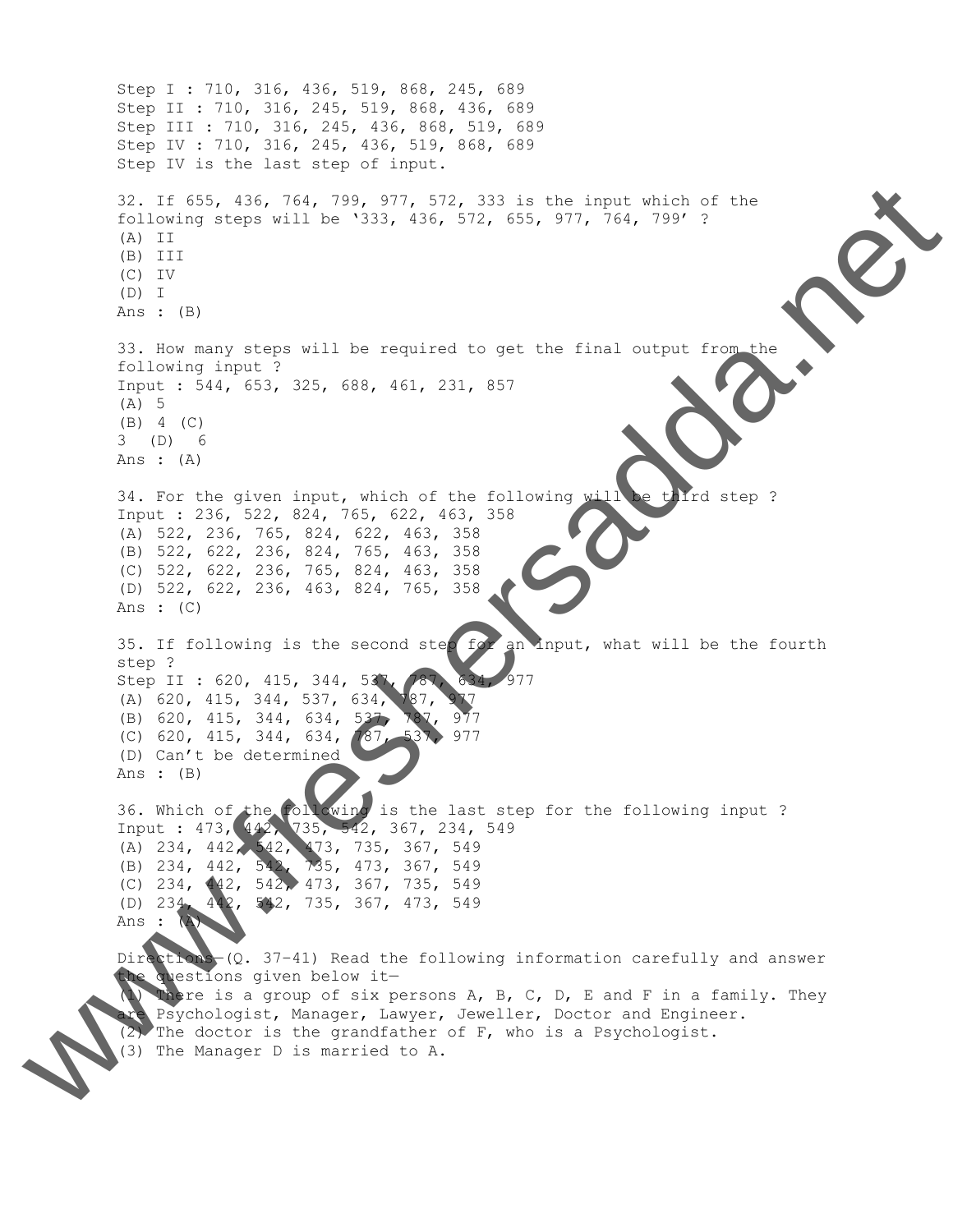Step I : 710, 316, 436, 519, 868, 245, 689 Step II : 710, 316, 245, 519, 868, 436, 689 Step III : 710, 316, 245, 436, 868, 519, 689 Step IV : 710, 316, 245, 436, 519, 868, 689 Step IV is the last step of input. 32. If 655, 436, 764, 799, 977, 572, 333 is the input which of the following steps will be '333, 436, 572, 655, 977, 764, 799' ? (A) II (B) III (C) IV (D) I Ans : (B) 33. How many steps will be required to get the final output from the following input ? Input : 544, 653, 325, 688, 461, 231, 857 (A) 5 (B) 4 (C) 3 (D) 6 Ans : (A) 34. For the given input, which of the following will be third step ? Input : 236, 522, 824, 765, 622, 463, 358 (A) 522, 236, 765, 824, 622, 463, 358 (B) 522, 622, 236, 824, 765, 463, 358 (C) 522, 622, 236, 765, 824, 463, 358 (D) 522, 622, 236, 463, 824, 765, 358 Ans : (C) 35. If following is the second step for an input, what will be the fourth step ? Step II : 620, 415, 344, 537, 787, 634, 977 (A) 620, 415, 344, 537, 634, 787, (B) 620, 415, 344, 634, 537, 787, 977 (C) 620, 415, 344, 634, 787, 537, 977 (D) Can't be determined Ans : (B) 36. Which of the following is the last step for the following input ? Input : 473, 442, 735, 542, 367, 234, 549 (A) 234, 442, 542, 473, 735, 367, 549 (B) 234, 442, 542, 735, 473, 367, 549 (C) 234, 442, 542, 473, 367, 735, 549 (D) 234, 442, 542, 735, 367, 473, 549 Ans : (A) Directions (Q. 37-41) Read the following information carefully and answer questions given below it-There is a group of six persons  $A$ ,  $B$ ,  $C$ ,  $D$ ,  $E$  and  $F$  in a family. They Psychologist, Manager, Lawyer, Jeweller, Doctor and Engineer.  $(2)$  The doctor is the grandfather of F, who is a Psychologist. (3)  $\frac{1}{100}$  The Manager D is matrix  $\frac{1}{100}$  The Manager D is matrix  $\frac{1}{100}$  The Manager D is matrix  $\frac{1}{100}$  The Manager D is matrix  $\frac{1}{100}$  The Manager D is matrix  $\frac{1}{100}$  The Manager D is matrix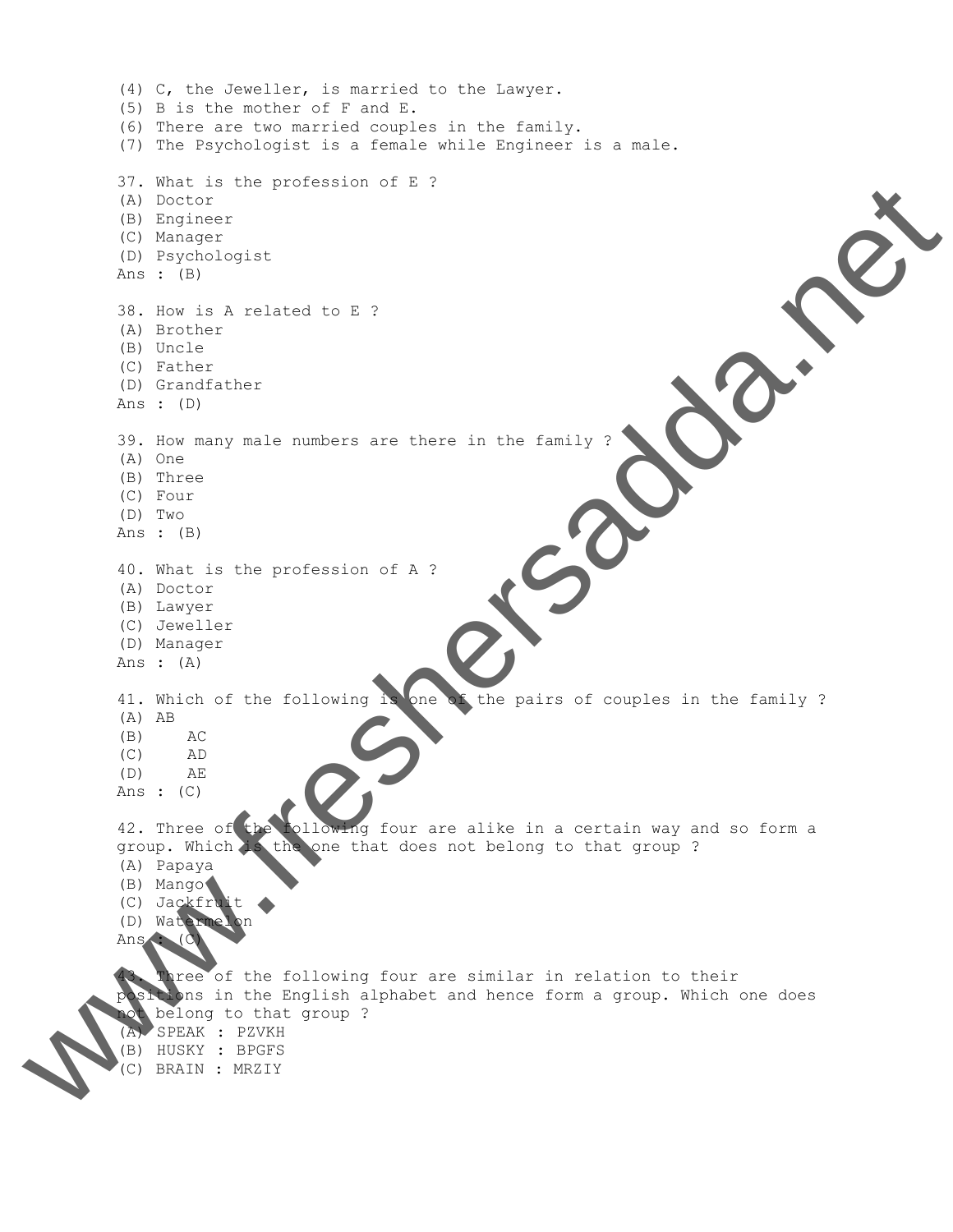(4) C, the Jeweller, is married to the Lawyer. (5) B is the mother of F and E. (6) There are two married couples in the family. (7) The Psychologist is a female while Engineer is a male. 37. What is the profession of E ? (A) Doctor (B) Engineer (C) Manager (D) Psychologist Ans : (B) 38. How is A related to E ? (A) Brother (B) Uncle (C) Father (D) Grandfather Ans : (D) 39. How many male numbers are there in the family ? (A) One (B) Three (C) Four (D) Two Ans : (B) 40. What is the profession of A ? (A) Doctor (B) Lawyer (C) Jeweller (D) Manager Ans : (A) 41. Which of the following is one of the pairs of couples in the family ? (A) AB (B) AC (C) AD (D) AE Ans :  $(C)$ 42. Three of the following four are alike in a certain way and so form a group. Which is the one that does not belong to that group ? (A) Papaya (B) Mango (C) Jackfruit (D) Watermelon Ans : (C) Three of the following four are similar in relation to their positions in the English alphabet and hence form a group. Which one does not belong to that group ? (A) SPEAK : PZVKH (B) HUSKY : BPGFS www.freshersadda.net (C) BRAIN : MRZIY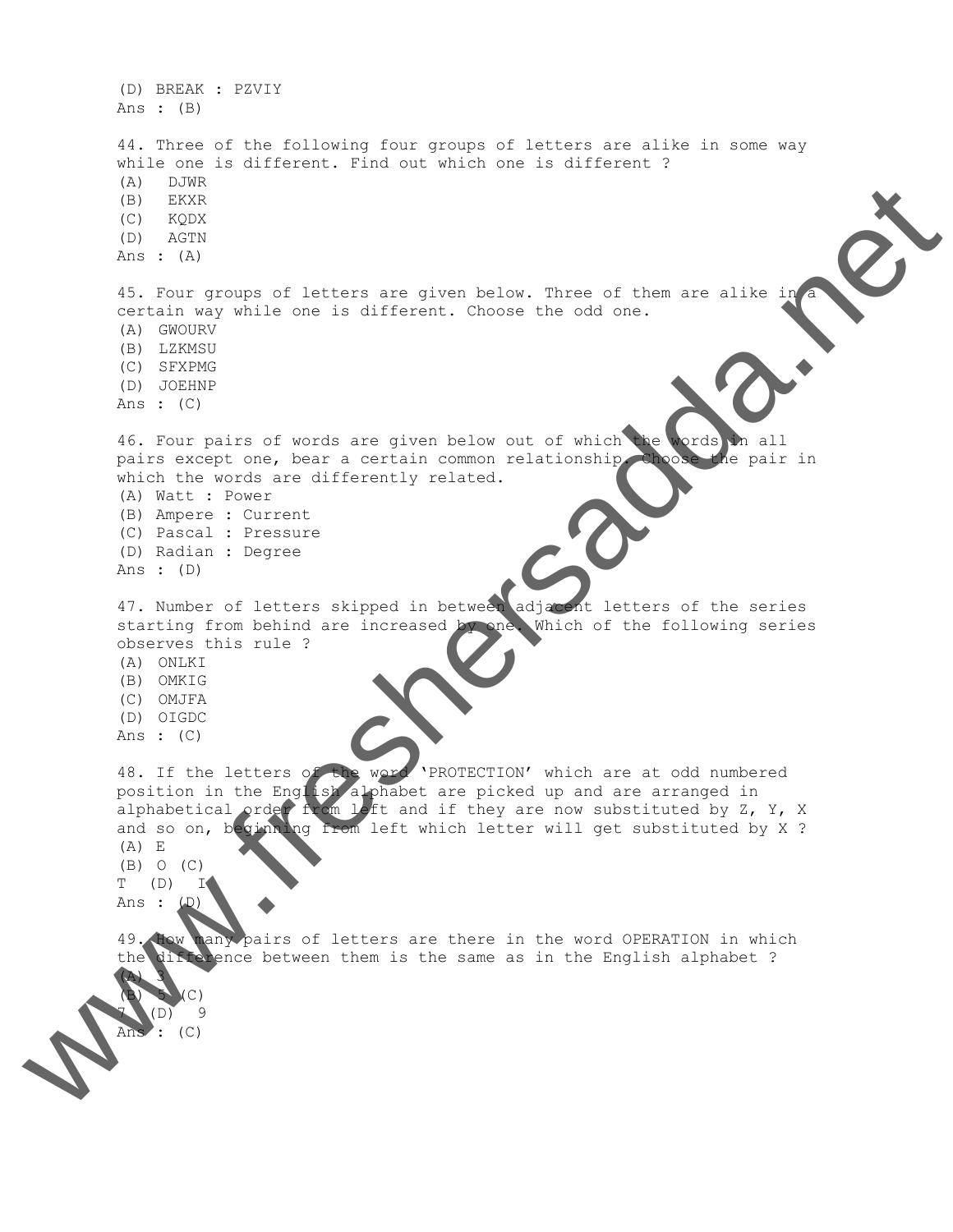(D) BREAK : PZVIY Ans : (B) 44. Three of the following four groups of letters are alike in some way while one is different. Find out which one is different ? (A) DJWR (B) EKXR (C) KQDX (D) AGTN Ans : (A) 45. Four groups of letters are given below. Three of them are alike in certain way while one is different. Choose the odd one. (A) GWOURV (B) LZKMSU (C) SFXPMG (D) JOEHNP Ans : (C) 46. Four pairs of words are given below out of which the words in all pairs except one, bear a certain common relationship. Choose the pair in which the words are differently related. (A) Watt : Power (B) Ampere : Current (C) Pascal : Pressure (D) Radian : Degree Ans : (D) 47. Number of letters skipped in between adjacent letters of the series starting from behind are increased by one. Which of the following series observes this rule ? (A) ONLKI (B) OMKIG (C) OMJFA (D) OIGDC Ans : (C) 48. If the letters of the word 'PROTECTION' which are at odd numbered position in the English alphabet are picked up and are arranged in alphabetical order from left and if they are now substituted by Z, Y, X and so on, beginning from left which letter will get substituted by X ? (A) E (B) O (C)  $T (D)$ Ans : 49. How many pairs of letters are there in the word OPERATION in which the difference between them is the same as in the English alphabet ? (A) 3  $(C)$  $(D)$  9 Ans : (C) www.freshersadda.net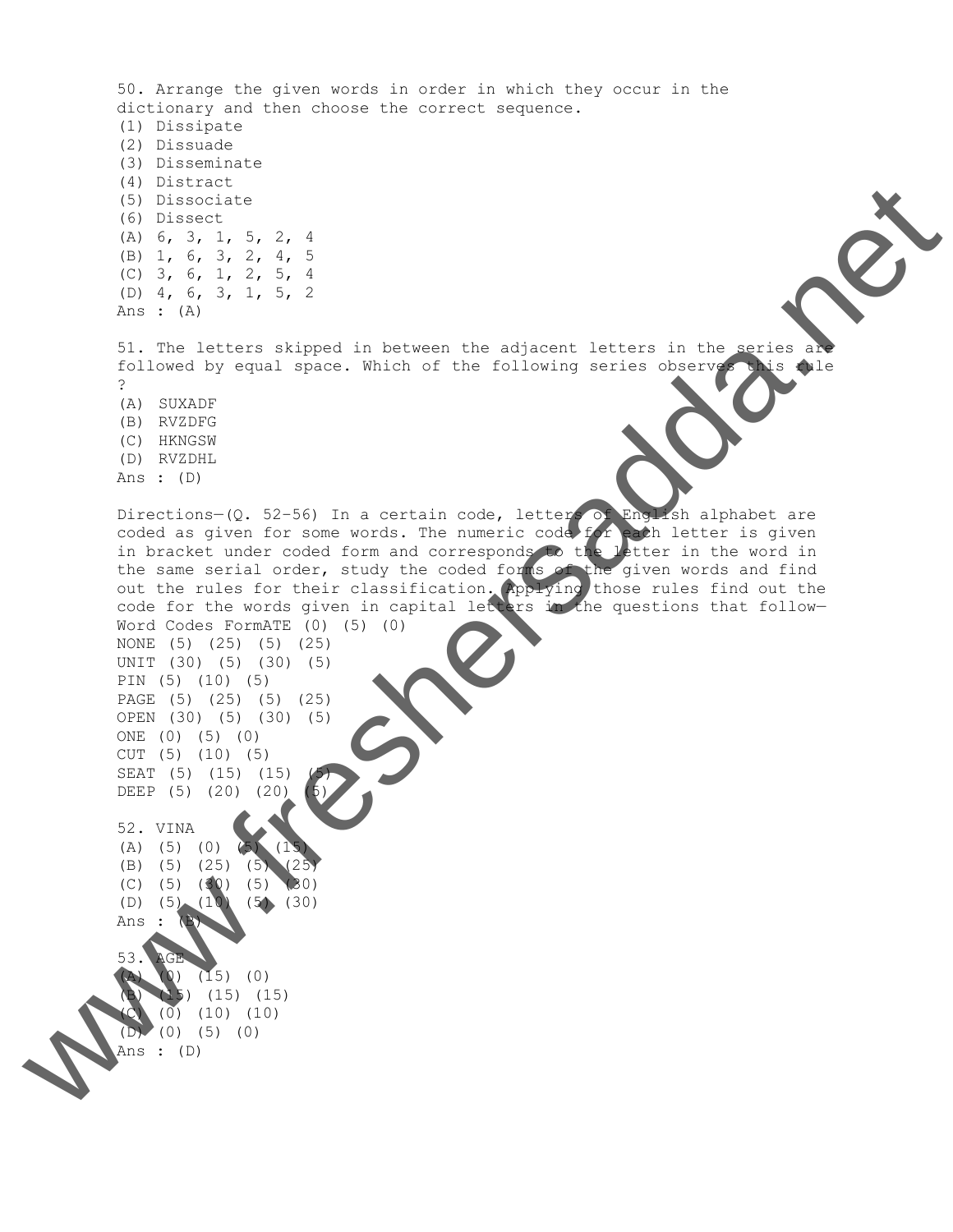50. Arrange the given words in order in which they occur in the dictionary and then choose the correct sequence. (1) Dissipate (2) Dissuade (3) Disseminate (4) Distract (5) Dissociate (6) Dissect (A) 6, 3, 1, 5, 2, 4 (B) 1, 6, 3, 2, 4, 5 (C) 3, 6, 1, 2, 5, 4 (D) 4, 6, 3, 1, 5, 2 Ans : (A) 51. The letters skipped in between the adjacent letters in the series are followed by equal space. Which of the following series observes this rule ? (A) SUXADF (B) RVZDFG (C) HKNGSW (D) RVZDHL Ans : (D) Directions- $(Q. 52-56)$  In a certain code, letters of English alphabet are coded as given for some words. The numeric code for each letter is given in bracket under coded form and corresponds to the letter in the word in the same serial order, study the coded forms of the given words and find out the rules for their classification. Applying those rules find out the code for the words given in capital letters in the questions that follow— Word Codes FormATE (0) (5) (0) NONE (5) (25) (5) (25) UNIT (30) (5) (30) (5) PIN (5) (10) (5) PAGE (5) (25) (5) (25) OPEN (30) (5) (30) (5) ONE (0) (5) (0) CUT (5) (10) (5) SEAT (5) (15) (15) DEEP (5) (20) (20) 52. VINA  $(A)$  (5) (0) (5) (1) (B) (5) (25) (5) (25) (C) (5) (30) (5) (30) (D) (5) (10) (5) (30) Ans : 53. AGE  $(0)$   $(15)$   $(0)$ (B) (15) (15) (15)  $(0)$   $(10)$   $(10)$ (D) (0) (5) (0) Ans : (D) www.freshersadda.net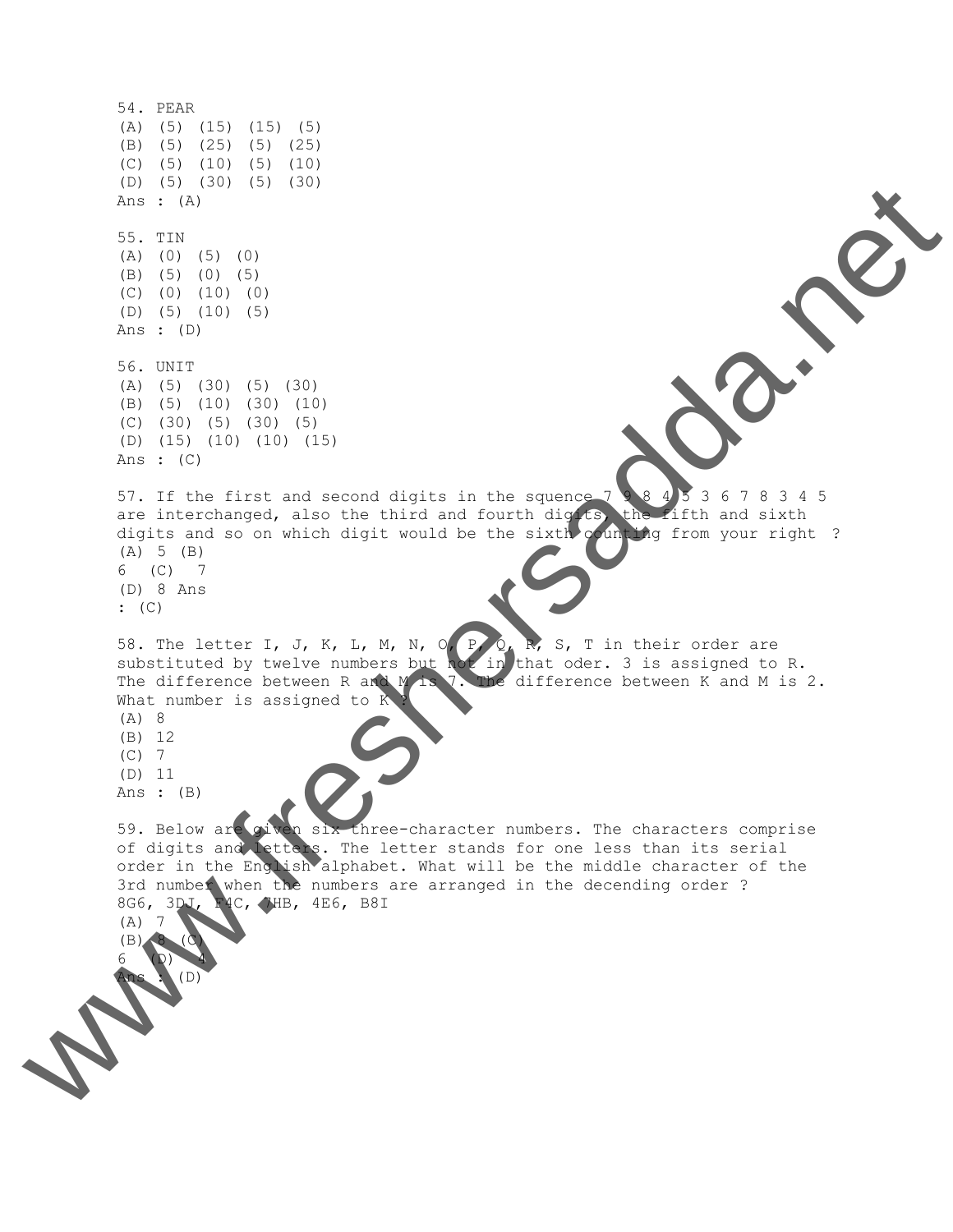54. PEAR (A) (5) (15) (15) (5) (B) (5) (25) (5) (25) (C) (5) (10) (5) (10) (D) (5) (30) (5) (30) Ans : (A) 55. TIN (A) (0) (5) (0) (B) (5) (0) (5) (C) (0) (10) (0) (D) (5) (10) (5) Ans : (D) 56. UNIT (A) (5) (30) (5) (30) (B) (5) (10) (30) (10) (C) (30) (5) (30) (5) (D) (15) (10) (10) (15) Ans : (C) 57. If the first and second digits in the squence 7 9 8 4 5 3 6 7 8 3 4 5 are interchanged, also the third and fourth digits, the fifth and sixth digits and so on which digit would be the sixth counting from your right ? (A) 5 (B) 6 (C) 7 (D) 8 Ans : (C) 58. The letter I, J, K, L, M, N, O, P, Q, R, S, T in their order are 58. The letter I, J, K, L, M, N, U  $\sum_{i=1}^{N} N_i$ , J, 1 in the case of  $\sum_{i=1}^{N} N_i$  is assigned to R. The difference between R and M is 7. The difference between K and M is 2. What number is assigned to K (A) 8 (B) 12 (C) 7 (D) 11 Ans : (B) 59. Below are given six three-character numbers. The characters comprise of digits and letters. The letter stands for one less than its serial order in the English alphabet. What will be the middle character of the 3rd number when the numbers are arranged in the decending order ? 8G6, 3DJ, F4C, 7HB, 4E6, B8I (A) 7  $(B)$ 6 (D) 4 Ans : (D) www.freshersadda.net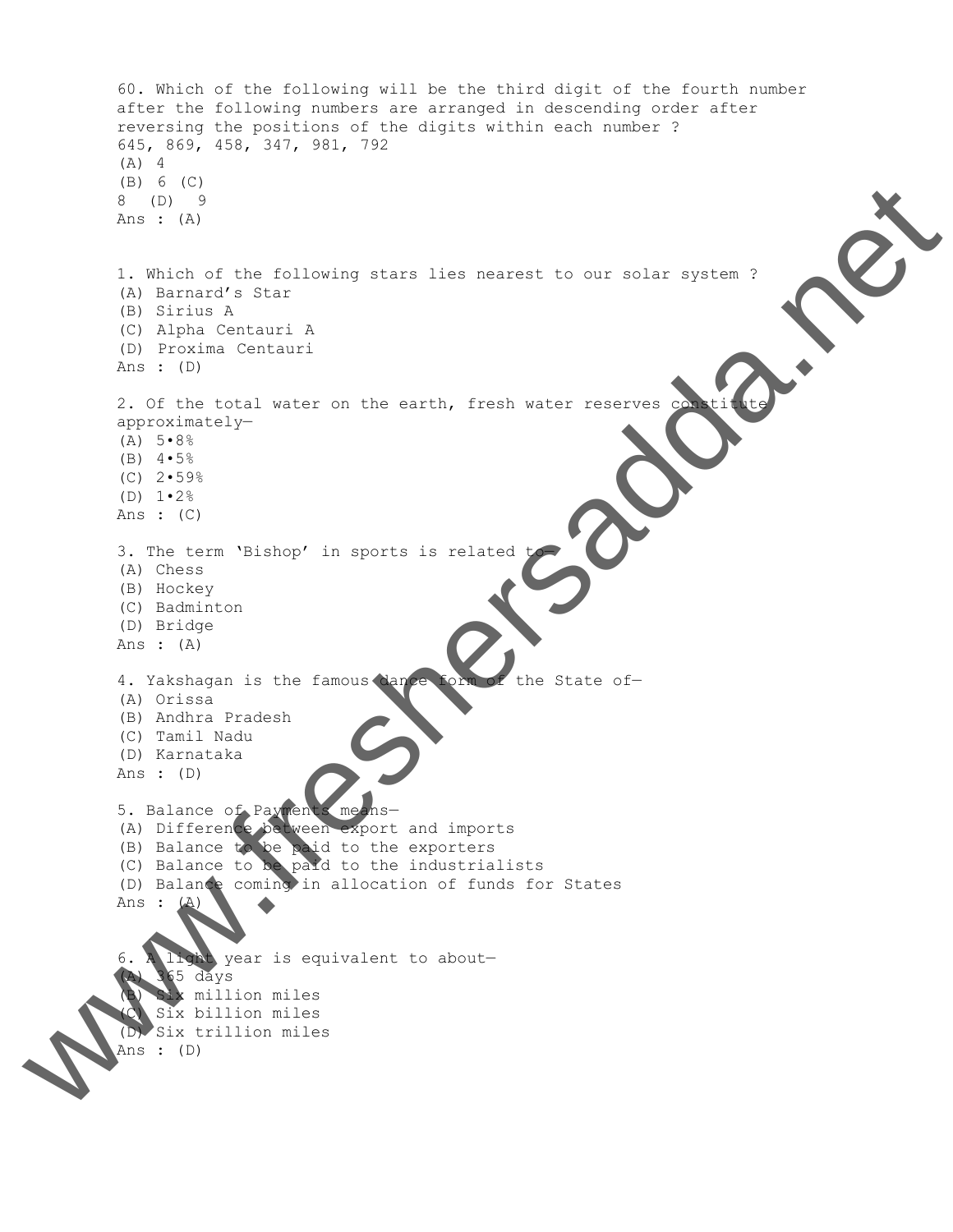```
60. Which of the following will be the third digit of the fourth number
        after the following numbers are arranged in descending order after
        reversing the positions of the digits within each number ?
         645, 869, 458, 347, 981, 792
         (A) 4
         (B) 6 (C)
        8 (D) 9
        Ans : (A)
         1. Which of the following stars lies nearest to our solar system ?
         (A) Barnard's Star
         (B) Sirius A
         (C) Alpha Centauri A
         (D) Proxima Centauri
        Ans : (D)
        2. Of the total water on the earth, fresh water reserves consti
        approximately—
         (A) 5 \cdot 8\%(B) 4 \cdot 5\%(C) 2•59%
         (D) 1•2%
        Ans : (C)
         3. The term 'Bishop' in sports is related
         (A) Chess
         (B) Hockey
         (C) Badminton
         (D) Bridge
        Ans : (A)
         4. Yakshagan is the famous dance form of the State of-
         (A) Orissa
         (B) Andhra Pradesh
         (C) Tamil Nadu
         (D) Karnataka
        Ans : (D)
         5. Balance of Payments means-
        (A) Difference between export and imports
         (B) Balance to be paid to the exporters
         (C) Balance to be paid to the industrialists
         (D) Balance coming in allocation of funds for States
        Ans :
         6. A light year is equivalent to about—
             365 days
              x million miles
            Six billion miles
         (D) Six trillion miles
Ans : (D) W.C.
```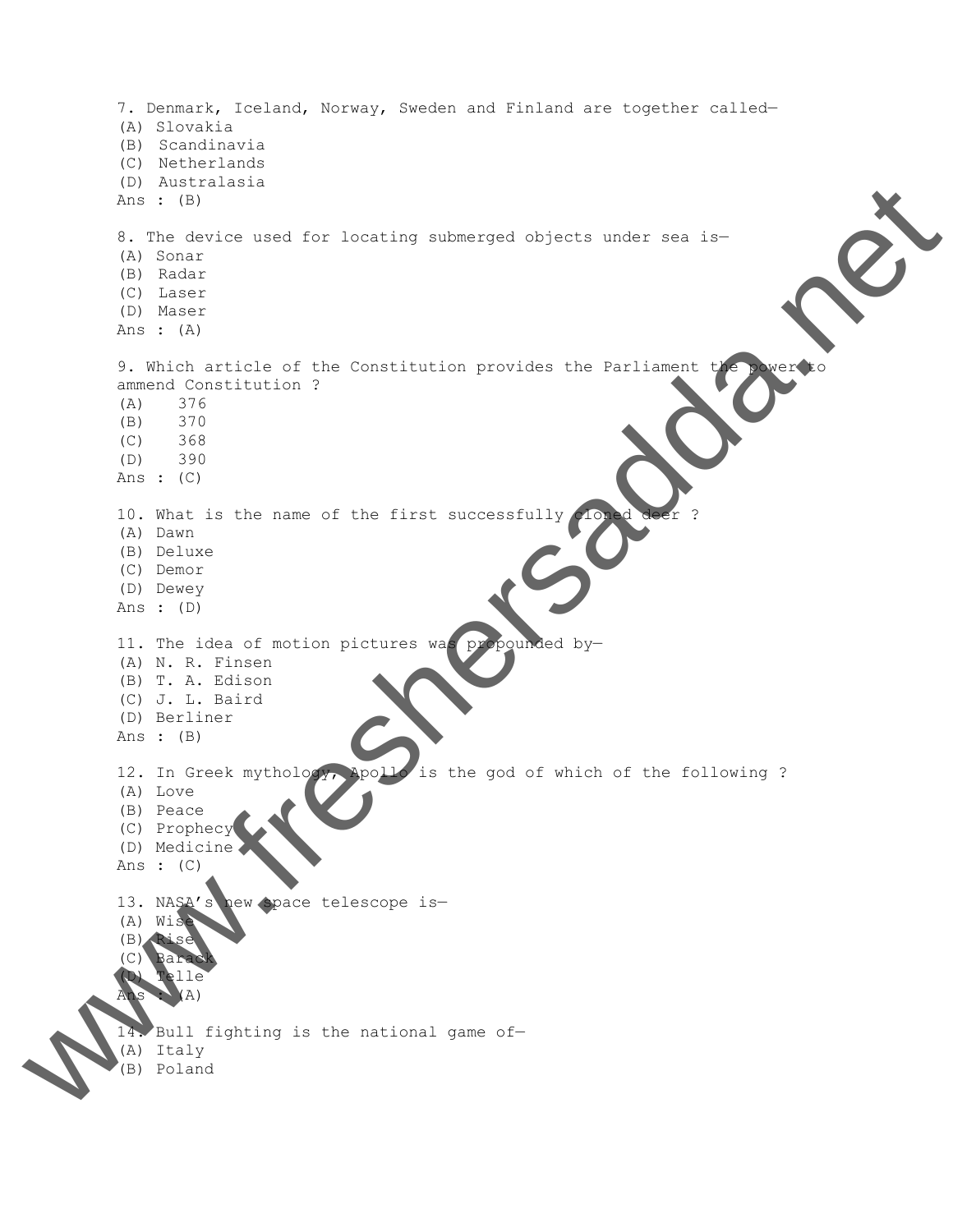7. Denmark, Iceland, Norway, Sweden and Finland are together called— (A) Slovakia (B) Scandinavia (C) Netherlands (D) Australasia Ans : (B) 8. The device used for locating submerged objects under sea is— (A) Sonar (B) Radar (C) Laser (D) Maser Ans : (A) 9. Which article of the Constitution provides the Parliament t ammend Constitution ? (A) 376 (B) 370 (C) 368 (D) 390 Ans : (C) 10. What is the name of the first successfully (A) Dawn (B) Deluxe (C) Demor (D) Dewey Ans : (D) 11. The idea of motion pictures was propounded by— (A) N. R. Finsen (B) T. A. Edison (C) J. L. Baird (D) Berliner Ans : (B) 12. In Greek mythology, Apollo is the god of which of the following ? (A) Love (B) Peace (C) Prophecy (D) Medicine Ans : (C) 13. NASA's new space telescope is— (A) Wise (B) Rise (C) Barack  $T$ elle  $(A)$ 14. Bull fighting is the national game of— (A) Italy www.freshersadda.net (B) Poland